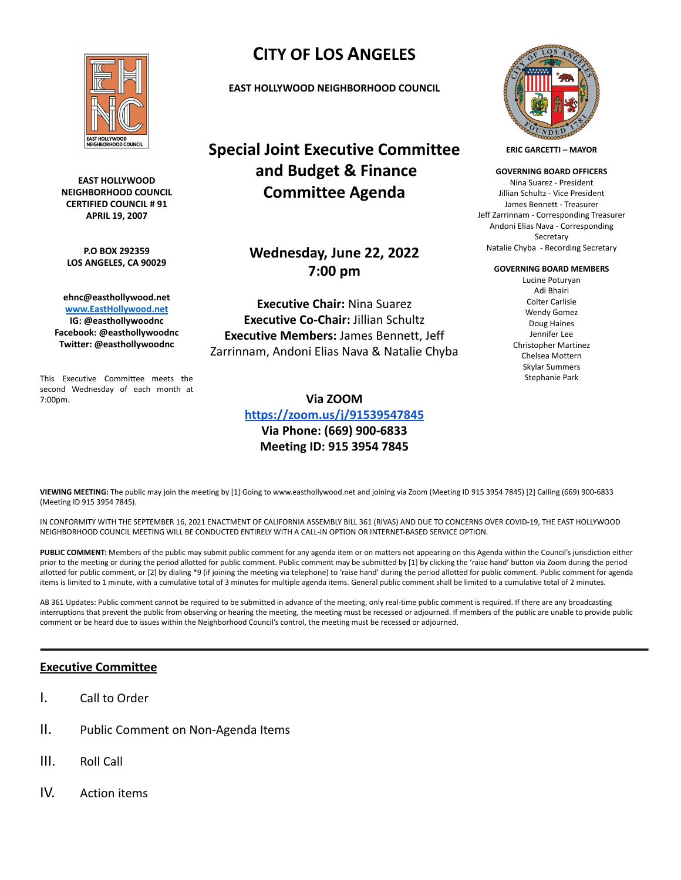

**EAST HOLLYWOOD NEIGHBORHOOD COUNCIL CERTIFIED COUNCIL # 91 APRIL 19, 2007**

**P.O BOX 292359 LOS ANGELES, CA 90029**

**ehnc@easthollywood.net [www.EastHollywood.net](http://www.easthollywood.net) IG: @easthollywoodnc Facebook: @easthollywoodnc Twitter: @easthollywoodnc**

This Executive Committee meets the second Wednesday of each month at 7:00pm.

# **CITY OF LOS ANGELES**

**EAST HOLLYWOOD NEIGHBORHOOD COUNCIL**

**Special Joint Executive Committee and Budget & Finance Committee Agenda**

## **Wednesday, June 22, 2022 7:00 pm**

**Executive Chair:** Nina Suarez **Executive Co-Chair:** Jillian Schultz **Executive Members:** James Bennett, Jeff Zarrinnam, Andoni Elias Nava & Natalie Chyba

### **Via ZOOM**

**<https://zoom.us/j/91539547845> Via Phone: (669) 900-6833 Meeting ID: 915 3954 7845**



**ERIC GARCETTI – MAYOR**

**GOVERNING BOARD OFFICERS**

Nina Suarez - President Jillian Schultz - Vice President James Bennett - Treasurer Jeff Zarrinnam - Corresponding Treasurer Andoni Elias Nava - Corresponding Secretary Natalie Chyba - Recording Secretary

#### **GOVERNING BOARD MEMBERS**

Lucine Poturyan Adi Bhairi Colter Carlisle Wendy Gomez Doug Haines Jennifer Lee Christopher Martinez Chelsea Mottern Skylar Summers Stephanie Park

**VIEWING MEETING:** The public may join the meeting by [1] Going to www.easthollywood.net and joining via Zoom (Meeting ID 915 3954 7845) [2] Calling (669) 900-6833 (Meeting ID 915 3954 7845).

IN CONFORMITY WITH THE SEPTEMBER 16, 2021 ENACTMENT OF CALIFORNIA ASSEMBLY BILL 361 (RIVAS) AND DUE TO CONCERNS OVER COVID-19, THE EAST HOLLYWOOD NEIGHBORHOOD COUNCIL MEETING WILL BE CONDUCTED ENTIRELY WITH A CALL-IN OPTION OR INTERNET-BASED SERVICE OPTION.

PUBLIC COMMENT: Members of the public may submit public comment for any agenda item or on matters not appearing on this Agenda within the Council's jurisdiction either prior to the meeting or during the period allotted for public comment. Public comment may be submitted by [1] by clicking the 'raise hand' button via Zoom during the period allotted for public comment, or [2] by dialing \*9 (if joining the meeting via telephone) to 'raise hand' during the period allotted for public comment. Public comment for agenda items is limited to 1 minute, with a cumulative total of 3 minutes for multiple agenda items. General public comment shall be limited to a cumulative total of 2 minutes.

AB 361 Updates: Public comment cannot be required to be submitted in advance of the meeting, only real-time public comment is required. If there are any broadcasting interruptions that prevent the public from observing or hearing the meeting, the meeting must be recessed or adjourned. If members of the public are unable to provide public comment or be heard due to issues within the Neighborhood Council's control, the meeting must be recessed or adjourned.

## **Executive Committee**

- I. Call to Order
- II. Public Comment on Non-Agenda Items
- III. Roll Call
- IV. Action items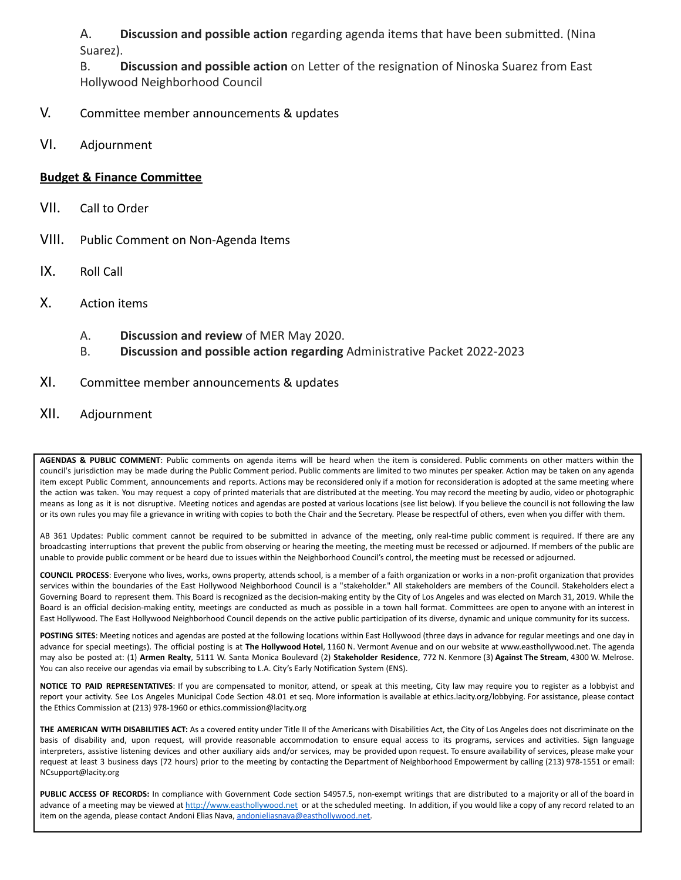A. **Discussion and possible action** regarding agenda items that have been submitted. (Nina Suarez).

B. **Discussion and possible action** on Letter of the resignation of Ninoska Suarez from East Hollywood Neighborhood Council

- V. Committee member announcements & updates
- VI. Adjournment

## **Budget & Finance Committee**

- VII. Call to Order
- VIII. Public Comment on Non-Agenda Items
- IX. Roll Call
- X. Action items
	- A. **Discussion and review** of MER May 2020.
	- B. **Discussion and possible action regarding** Administrative Packet 2022-2023
- XI. Committee member announcements & updates
- XII. Adjournment

**AGENDAS & PUBLIC COMMENT**: Public comments on agenda items will be heard when the item is considered. Public comments on other matters within the council's jurisdiction may be made during the Public Comment period. Public comments are limited to two minutes per speaker. Action may be taken on any agenda item except Public Comment, announcements and reports. Actions may be reconsidered only if a motion for reconsideration is adopted at the same meeting where the action was taken. You may request a copy of printed materials that are distributed at the meeting. You may record the meeting by audio, video or photographic means as long as it is not disruptive. Meeting notices and agendas are posted at various locations (see list below). If you believe the council is not following the law or its own rules you may file a grievance in writing with copies to both the Chair and the Secretary. Please be respectful of others, even when you differ with them.

AB 361 Updates: Public comment cannot be required to be submitted in advance of the meeting, only real-time public comment is required. If there are any broadcasting interruptions that prevent the public from observing or hearing the meeting, the meeting must be recessed or adjourned. If members of the public are unable to provide public comment or be heard due to issues within the Neighborhood Council's control, the meeting must be recessed or adjourned.

**COUNCIL PROCESS**: Everyone who lives, works, owns property, attends school, is a member of a faith organization or works in a non-profit organization that provides services within the boundaries of the East Hollywood Neighborhood Council is a "stakeholder." All stakeholders are members of the Council. Stakeholders elect a Governing Board to represent them. This Board is recognized as the decision-making entity by the City of Los Angeles and was elected on March 31, 2019. While the Board is an official decision-making entity, meetings are conducted as much as possible in a town hall format. Committees are open to anyone with an interest in East Hollywood. The East Hollywood Neighborhood Council depends on the active public participation of its diverse, dynamic and unique community for its success.

POSTING SITES: Meeting notices and agendas are posted at the following locations within East Hollywood (three days in advance for regular meetings and one day in advance for special meetings). The official posting is at **The Hollywood Hotel**, 1160 N. Vermont Avenue and on our website at www.easthollywood.net. The agenda may also be posted at: (1) **Armen Realty**, 5111 W. Santa Monica Boulevard (2) **Stakeholder Residence**, 772 N. Kenmore (3) **Against The Stream**, 4300 W. Melrose. You can also receive our agendas via email by subscribing to L.A. City's Early Notification System (ENS).

**NOTICE TO PAID REPRESENTATIVES**: If you are compensated to monitor, attend, or speak at this meeting, City law may require you to register as a lobbyist and report your activity. See Los Angeles Municipal Code Section 48.01 et seq. More information is available at ethics.lacity.org/lobbying. For assistance, please contact the Ethics Commission at (213) 978-1960 or ethics.commission@lacity.org

**THE AMERICAN WITH DISABILITIES ACT:** As a covered entity under Title II of the Americans with Disabilities Act, the City of Los Angeles does not discriminate on the basis of disability and, upon request, will provide reasonable accommodation to ensure equal access to its programs, services and activities. Sign language interpreters, assistive listening devices and other auxiliary aids and/or services, may be provided upon request. To ensure availability of services, please make your request at least 3 business days (72 hours) prior to the meeting by contacting the Department of Neighborhood Empowerment by calling (213) 978-1551 or email: NCsupport@lacity.org

**PUBLIC ACCESS OF RECORDS:** In compliance with Government Code section 54957.5, non-exempt writings that are distributed to a majority or all of the board in advance of a meeting may be viewed at <http://www.easthollywood.net> or at the scheduled meeting. In addition, if you would like a copy of any record related to an item on the agenda, please contact Andoni Elias Nava, [andonieliasnava@easthollywood.net.](mailto:andonieliasnava@easthollywood.net)